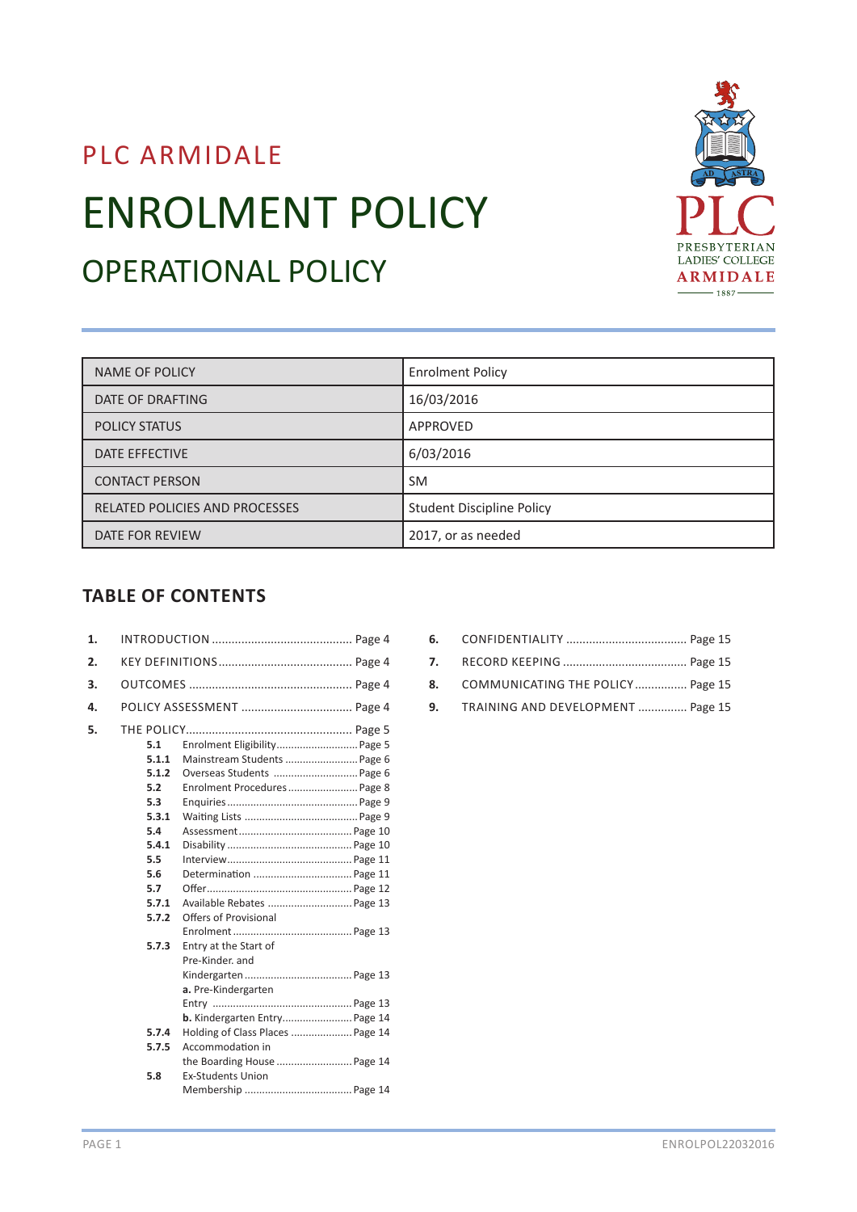# PLC ARMIDALE ENROLMENT POLICY OPERATIONAL POLICY



| NAME OF POLICY                        | <b>Enrolment Policy</b>          |
|---------------------------------------|----------------------------------|
| DATE OF DRAFTING                      | 16/03/2016                       |
| <b>POLICY STATUS</b>                  | APPROVED                         |
| DATE EFFECTIVE                        | 6/03/2016                        |
| <b>CONTACT PERSON</b>                 | <b>SM</b>                        |
| <b>RELATED POLICIES AND PROCESSES</b> | <b>Student Discipline Policy</b> |
| DATE FOR REVIEW                       | 2017, or as needed               |

# **TABLE OF CONTENTS**

| 1. |                                                                                                              |                                                                                                                                                                                                                                   |  |
|----|--------------------------------------------------------------------------------------------------------------|-----------------------------------------------------------------------------------------------------------------------------------------------------------------------------------------------------------------------------------|--|
| 2. |                                                                                                              |                                                                                                                                                                                                                                   |  |
| 3. |                                                                                                              |                                                                                                                                                                                                                                   |  |
| 4. |                                                                                                              |                                                                                                                                                                                                                                   |  |
| 5. | 5.1<br>5.1.1<br>5.1.2<br>5.2<br>5.3<br>5.3.1<br>5.4<br>5.4.1<br>5.5<br>5.6<br>5.7<br>5.7.1<br>5.7.2<br>5.7.3 | Enrolment Eligibility Page 5<br>Mainstream Students  Page 6<br>Overseas Students  Page 6<br>Enrolment Procedures Page 8<br>Determination  Page 11<br>Available Rebates  Page 13<br>Offers of Provisional<br>Entry at the Start of |  |
|    | 5.7.4<br>5.7.5<br>5.8                                                                                        | Pre-Kinder, and<br>a. Pre-Kindergarten<br>b. Kindergarten Entry Page 14<br>Holding of Class Places  Page 14<br>Accommodation in<br>the Boarding House  Page 14<br><b>Ex-Students Union</b>                                        |  |

- **6.** CONFIDENTIALITY ..................................... Page 15
- **7.** RECORD KEEPING ...................................... Page 15
- **8.** COMMUNICATING THE POLICY................ Page 15
- **9.** TRAINING AND DEVELOPMENT ............... Page 15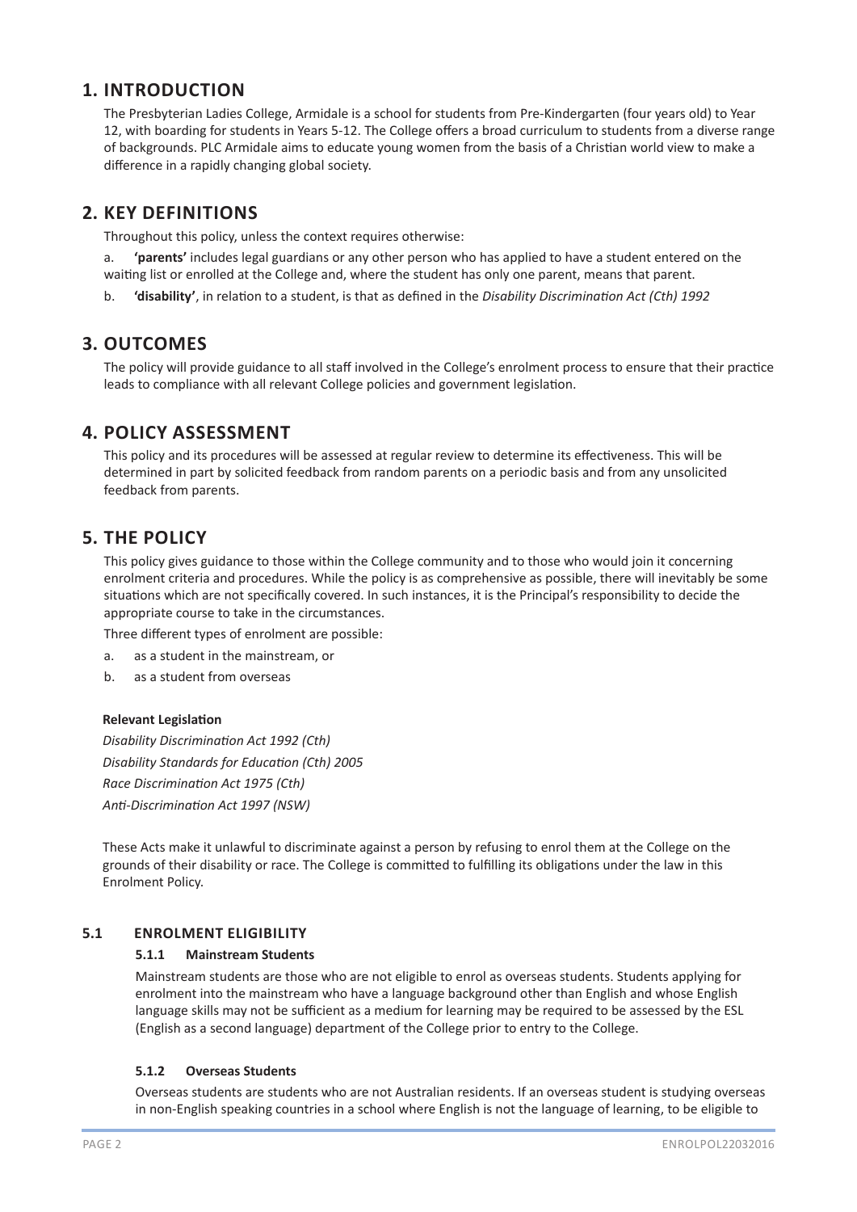# **1. INTRODUCTION**

 The Presbyterian Ladies College, Armidale is a school for students from Pre-Kindergarten (four years old) to Year 12, with boarding for students in Years 5-12. The College offers a broad curriculum to students from a diverse range of backgrounds. PLC Armidale aims to educate young women from the basis of a Christian world view to make a difference in a rapidly changing global society.

# **2. KEY DEFINITIONS**

Throughout this policy, unless the context requires otherwise:

a. **'parents'** includes legal guardians or any other person who has applied to have a student entered on the waiting list or enrolled at the College and, where the student has only one parent, means that parent.

b. **'disability'**, in relation to a student, is that as defined in the *Disability Discrimination Act (Cth) 1992*

# **3. OUTCOMES**

 The policy will provide guidance to all staff involved in the College's enrolment process to ensure that their practice leads to compliance with all relevant College policies and government legislation.

# **4. POLICY ASSESSMENT**

 This policy and its procedures will be assessed at regular review to determine its effectiveness. This will be determined in part by solicited feedback from random parents on a periodic basis and from any unsolicited feedback from parents.

# **5. THE POLICY**

This policy gives guidance to those within the College community and to those who would join it concerning enrolment criteria and procedures. While the policy is as comprehensive as possible, there will inevitably be some situations which are not specifically covered. In such instances, it is the Principal's responsibility to decide the appropriate course to take in the circumstances.

 Three different types of enrolment are possible:

- a. as a student in the mainstream, or
- b. as a student from overseas

## **Relevant Legislation**

*Disability Discrimination Act 1992 (Cth) Disability Standards for Education (Cth) 2005 Race Discrimination Act 1975 (Cth) Anti-Discrimination Act 1997 (NSW)*

These Acts make it unlawful to discriminate against a person by refusing to enrol them at the College on the grounds of their disability or race. The College is committed to fulfilling its obligations under the law in this Enrolment Policy.

## **5.1 ENROLMENT ELIGIBILITY**

#### **5.1.1 Mainstream Students**

Mainstream students are those who are not eligible to enrol as overseas students. Students applying for enrolment into the mainstream who have a language background other than English and whose English language skills may not be sufficient as a medium for learning may be required to be assessed by the ESL (English as a second language) department of the College prior to entry to the College.

## **5.1.2 Overseas Students**

Overseas students are students who are not Australian residents. If an overseas student is studying overseas in non-English speaking countries in a school where English is not the language of learning, to be eligible to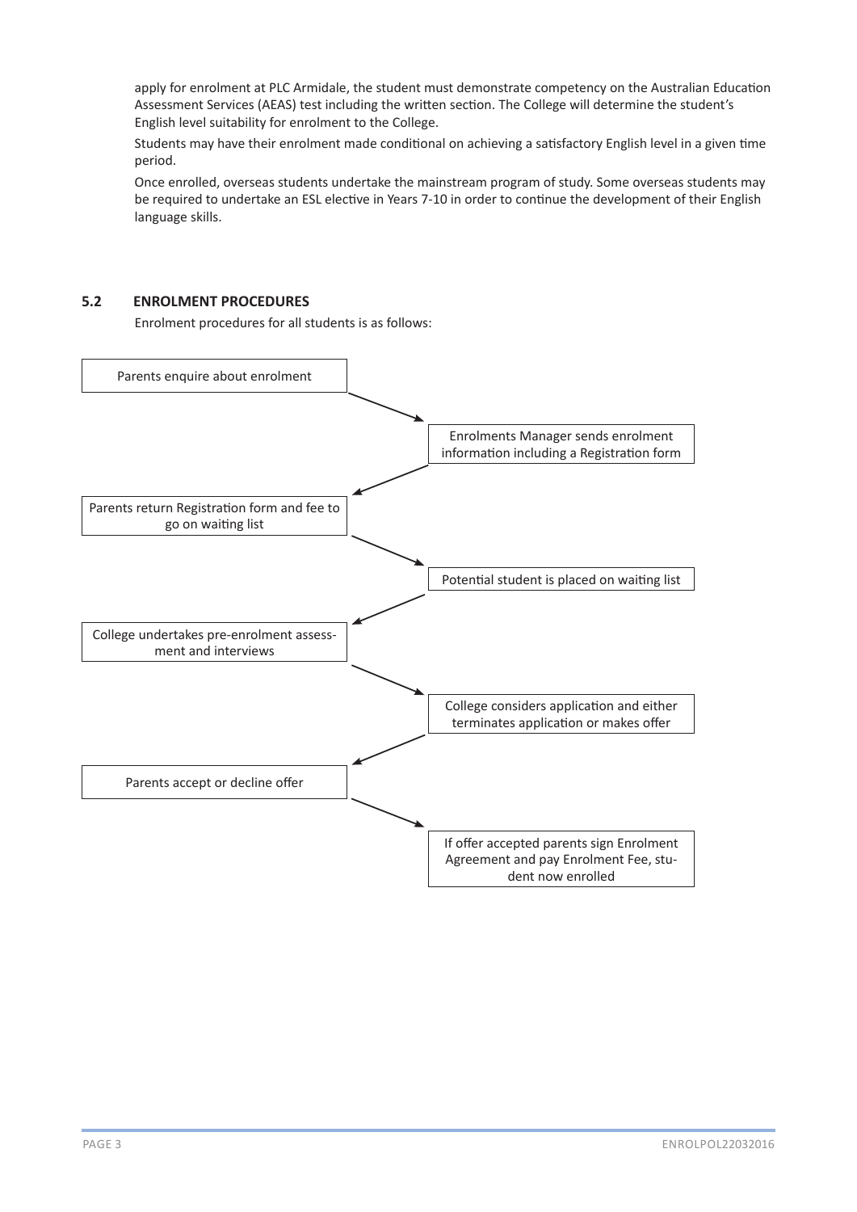apply for enrolment at PLC Armidale, the student must demonstrate competency on the Australian Education Assessment Services (AEAS) test including the written section. The College will determine the student's English level suitability for enrolment to the College.

Students may have their enrolment made conditional on achieving a satisfactory English level in a given time period.

Once enrolled, overseas students undertake the mainstream program of study. Some overseas students may be required to undertake an ESL elective in Years 7-10 in order to continue the development of their English language skills.

## **5.2 ENROLMENT PROCEDURES**

Enrolment procedures for all students is as follows:

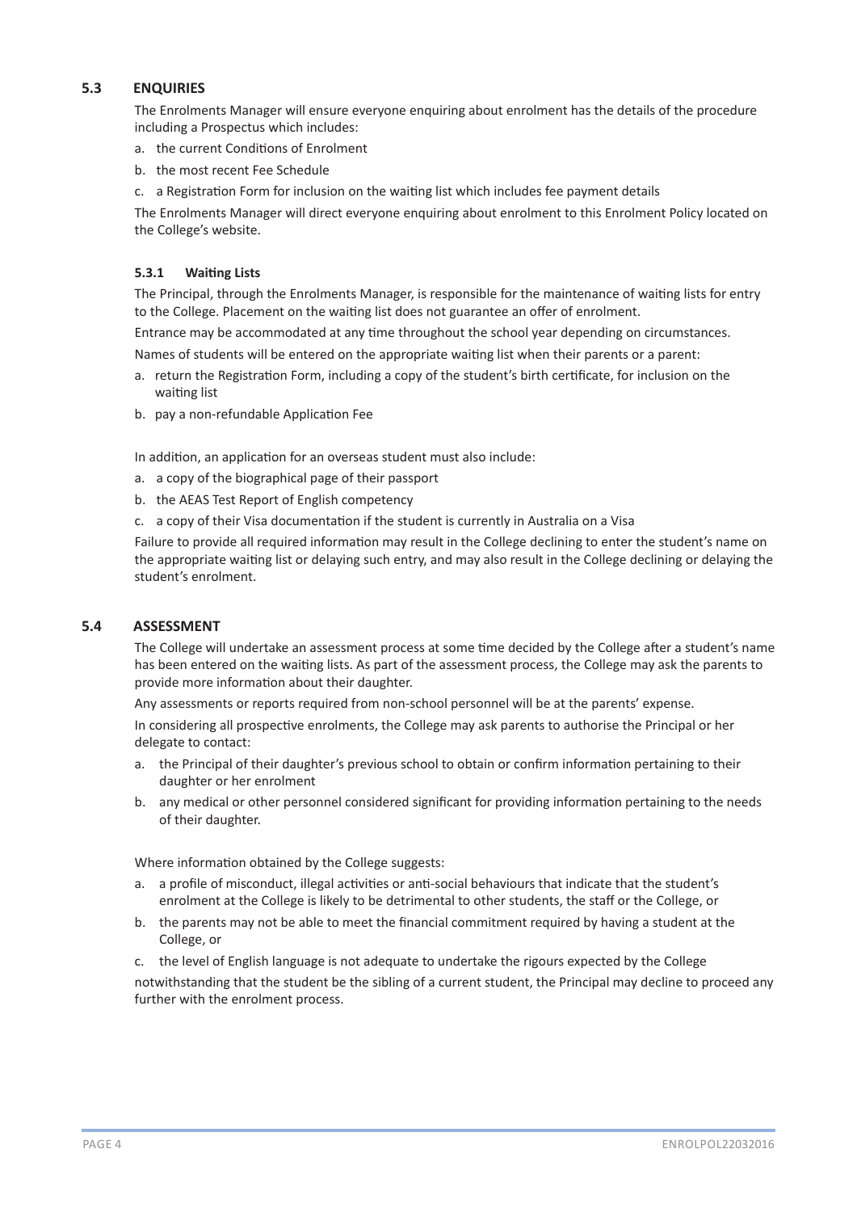## **5.3 ENQUIRIES**

The Enrolments Manager will ensure everyone enquiring about enrolment has the details of the procedure including a Prospectus which includes:

- a. the current Conditions of Enrolment
- b. the most recent Fee Schedule
- c. a Registration Form for inclusion on the waiting list which includes fee payment details

The Enrolments Manager will direct everyone enquiring about enrolment to this Enrolment Policy located on the College's website.

### **5.3.1 Waiting Lists**

The Principal, through the Enrolments Manager, is responsible for the maintenance of waiting lists for entry to the College. Placement on the waiting list does not guarantee an offer of enrolment.

Entrance may be accommodated at any time throughout the school year depending on circumstances.

Names of students will be entered on the appropriate waiting list when their parents or a parent:

- a. return the Registration Form, including a copy of the student's birth certificate, for inclusion on the waiting list
- b. pay a non-refundable Application Fee

In addition, an application for an overseas student must also include:

- a. a copy of the biographical page of their passport
- b. the AEAS Test Report of English competency
- c. a copy of their Visa documentation if the student is currently in Australia on a Visa

Failure to provide all required information may result in the College declining to enter the student's name on the appropriate waiting list or delaying such entry, and may also result in the College declining or delaying the student's enrolment.

#### **5.4 ASSESSMENT**

The College will undertake an assessment process at some time decided by the College after a student's name has been entered on the waiting lists. As part of the assessment process, the College may ask the parents to provide more information about their daughter.

Any assessments or reports required from non-school personnel will be at the parents' expense.

In considering all prospective enrolments, the College may ask parents to authorise the Principal or her delegate to contact:

- a. the Principal of their daughter's previous school to obtain or confirm information pertaining to their daughter or her enrolment
- b. any medical or other personnel considered significant for providing information pertaining to the needs of their daughter.

Where information obtained by the College suggests:

- a. a profile of misconduct, illegal activities or anti-social behaviours that indicate that the student's enrolment at the College is likely to be detrimental to other students, the staff or the College, or
- b. the parents may not be able to meet the financial commitment required by having a student at the College, or
- c. the level of English language is not adequate to undertake the rigours expected by the College

notwithstanding that the student be the sibling of a current student, the Principal may decline to proceed any further with the enrolment process.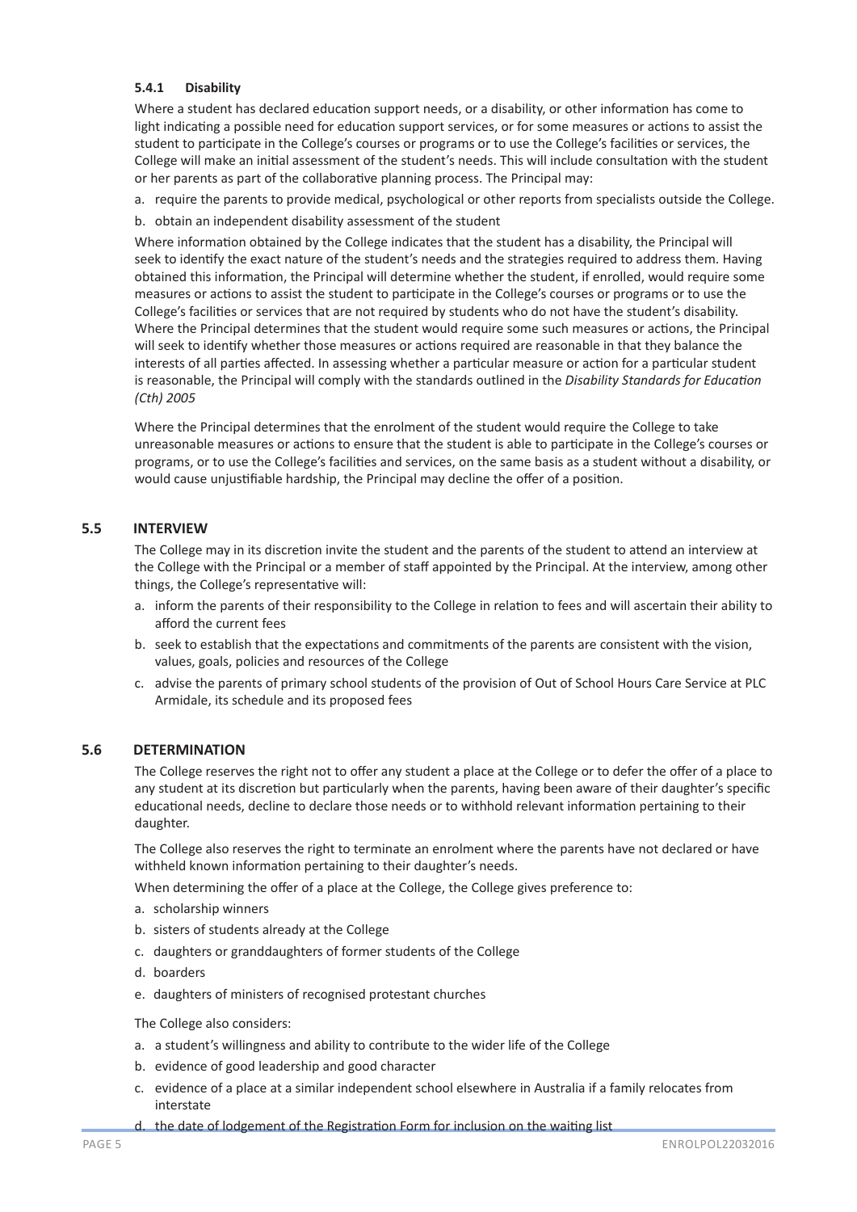### **5.4.1 Disability**

Where a student has declared education support needs, or a disability, or other information has come to light indicating a possible need for education support services, or for some measures or actions to assist the student to participate in the College's courses or programs or to use the College's facilities or services, the College will make an initial assessment of the student's needs. This will include consultation with the student or her parents as part of the collaborative planning process. The Principal may:

- a. require the parents to provide medical, psychological or other reports from specialists outside the College.
- b. obtain an independent disability assessment of the student

Where information obtained by the College indicates that the student has a disability, the Principal will seek to identify the exact nature of the student's needs and the strategies required to address them. Having obtained this information, the Principal will determine whether the student, if enrolled, would require some measures or actions to assist the student to participate in the College's courses or programs or to use the College's facilities or services that are not required by students who do not have the student's disability. Where the Principal determines that the student would require some such measures or actions, the Principal will seek to identify whether those measures or actions required are reasonable in that they balance the interests of all parties affected. In assessing whether a particular measure or action for a particular student is reasonable, the Principal will comply with the standards outlined in the *Disability Standards for Education (Cth) 2005*

Where the Principal determines that the enrolment of the student would require the College to take unreasonable measures or actions to ensure that the student is able to participate in the College's courses or programs, or to use the College's facilities and services, on the same basis as a student without a disability, or would cause unjustifiable hardship, the Principal may decline the offer of a position.

#### **5.5 INTERVIEW**

The College may in its discretion invite the student and the parents of the student to attend an interview at the College with the Principal or a member of staff appointed by the Principal. At the interview, among other things, the College's representative will:

- a. inform the parents of their responsibility to the College in relation to fees and will ascertain their ability to afford the current fees
- b. seek to establish that the expectations and commitments of the parents are consistent with the vision, values, goals, policies and resources of the College
- c. advise the parents of primary school students of the provision of Out of School Hours Care Service at PLC Armidale, its schedule and its proposed fees

#### **5.6 DETERMINATION**

The College reserves the right not to offer any student a place at the College or to defer the offer of a place to any student at its discretion but particularly when the parents, having been aware of their daughter's specific educational needs, decline to declare those needs or to withhold relevant information pertaining to their daughter.

The College also reserves the right to terminate an enrolment where the parents have not declared or have withheld known information pertaining to their daughter's needs.

When determining the offer of a place at the College, the College gives preference to:

- a. scholarship winners
- b. sisters of students already at the College
- c. daughters or granddaughters of former students of the College
- d. boarders
- e. daughters of ministers of recognised protestant churches

The College also considers:

- a. a student's willingness and ability to contribute to the wider life of the College
- b. evidence of good leadership and good character
- c. evidence of a place at a similar independent school elsewhere in Australia if a family relocates from interstate
- d. the date of lodgement of the Registration Form for inclusion on the waiting list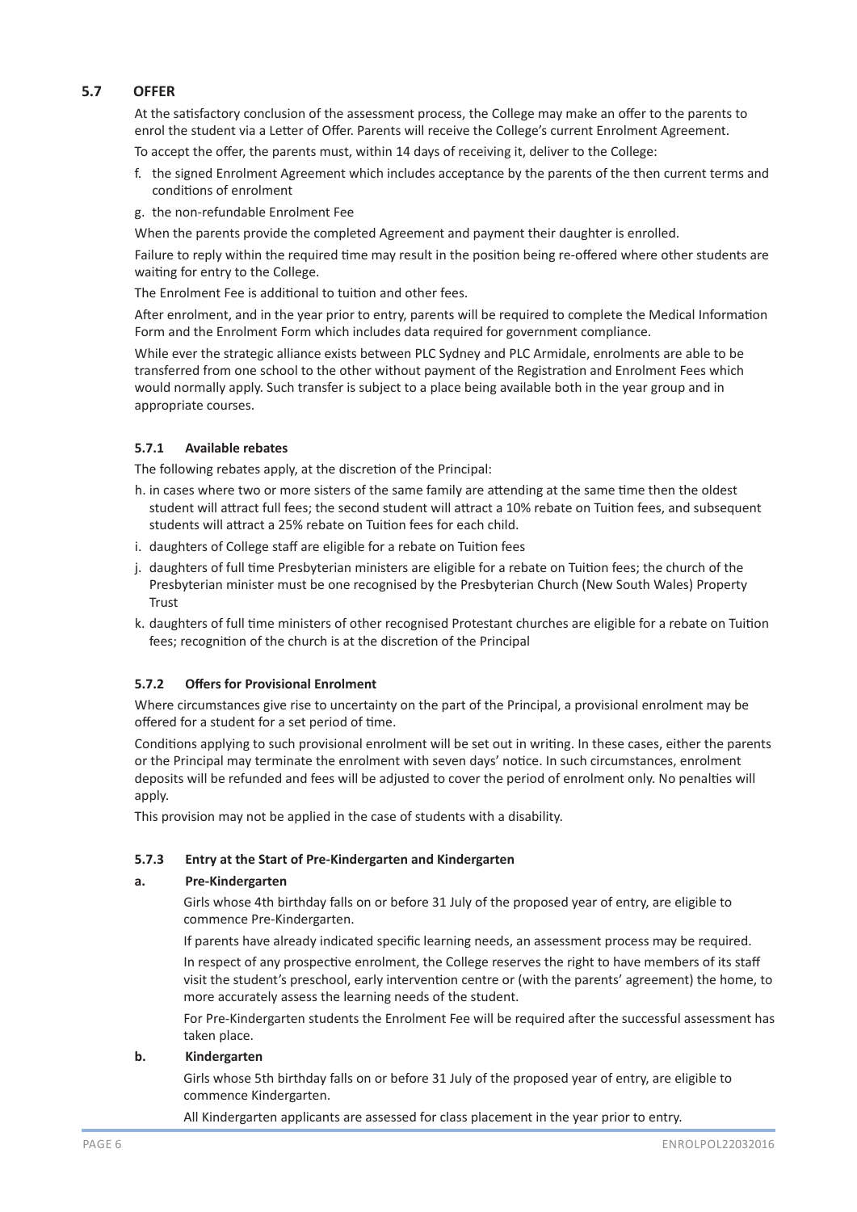# **5.7 OFFER**

At the satisfactory conclusion of the assessment process, the College may make an offer to the parents to enrol the student via a Letter of Offer. Parents will receive the College's current Enrolment Agreement.

To accept the offer, the parents must, within 14 days of receiving it, deliver to the College:

- f. the signed Enrolment Agreement which includes acceptance by the parents of the then current terms and conditions of enrolment
- g. the non-refundable Enrolment Fee

When the parents provide the completed Agreement and payment their daughter is enrolled.

Failure to reply within the required time may result in the position being re-offered where other students are waiting for entry to the College.

The Enrolment Fee is additional to tuition and other fees.

After enrolment, and in the year prior to entry, parents will be required to complete the Medical Information Form and the Enrolment Form which includes data required for government compliance.

While ever the strategic alliance exists between PLC Sydney and PLC Armidale, enrolments are able to be transferred from one school to the other without payment of the Registration and Enrolment Fees which would normally apply. Such transfer is subject to a place being available both in the year group and in appropriate courses.

## **5.7.1 Available rebates**

The following rebates apply, at the discretion of the Principal:

- h. in cases where two or more sisters of the same family are attending at the same time then the oldest student will attract full fees; the second student will attract a 10% rebate on Tuition fees, and subsequent students will attract a 25% rebate on Tuition fees for each child.
- i. daughters of College staff are eligible for a rebate on Tuition fees
- j. daughters of full time Presbyterian ministers are eligible for a rebate on Tuition fees; the church of the Presbyterian minister must be one recognised by the Presbyterian Church (New South Wales) Property **Trust**
- k. daughters of full time ministers of other recognised Protestant churches are eligible for a rebate on Tuition fees; recognition of the church is at the discretion of the Principal

## **5.7.2 Offers for Provisional Enrolment**

Where circumstances give rise to uncertainty on the part of the Principal, a provisional enrolment may be offered for a student for a set period of time.

Conditions applying to such provisional enrolment will be set out in writing. In these cases, either the parents or the Principal may terminate the enrolment with seven days' notice. In such circumstances, enrolment deposits will be refunded and fees will be adjusted to cover the period of enrolment only. No penalties will apply.

This provision may not be applied in the case of students with a disability.

## **5.7.3 Entry at the Start of Pre-Kindergarten and Kindergarten**

## **a. Pre-Kindergarten**

Girls whose 4th birthday falls on or before 31 July of the proposed year of entry, are eligible to commence Pre-Kindergarten.

If parents have already indicated specific learning needs, an assessment process may be required.

In respect of any prospective enrolment, the College reserves the right to have members of its staff visit the student's preschool, early intervention centre or (with the parents' agreement) the home, to more accurately assess the learning needs of the student.

For Pre-Kindergarten students the Enrolment Fee will be required after the successful assessment has taken place.

## **b. Kindergarten**

Girls whose 5th birthday falls on or before 31 July of the proposed year of entry, are eligible to commence Kindergarten.

All Kindergarten applicants are assessed for class placement in the year prior to entry.